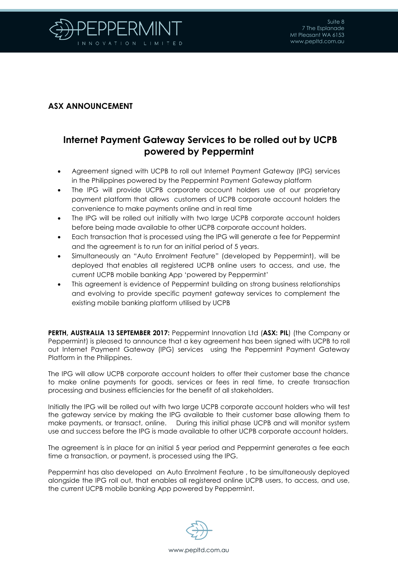

## **ASX ANNOUNCEMENT**

## **Internet Payment Gateway Services to be rolled out by UCPB powered by Peppermint**

- Agreement signed with UCPB to roll out Internet Payment Gateway (IPG) services in the Philippines powered by the Peppermint Payment Gateway platform
- The IPG will provide UCPB corporate account holders use of our proprietary payment platform that allows customers of UCPB corporate account holders the convenience to make payments online and in real time
- The IPG will be rolled out initially with two large UCPB corporate account holders before being made available to other UCPB corporate account holders.
- Each transaction that is processed using the IPG will generate a fee for Peppermint and the agreement is to run for an initial period of 5 years.
- Simultaneously an "Auto Enrolment Feature" (developed by Peppermint), will be deployed that enables all registered UCPB online users to access, and use, the current UCPB mobile banking App 'powered by Peppermint'
- This agreement is evidence of Peppermint building on strong business relationships and evolving to provide specific payment gateway services to complement the existing mobile banking platform utilised by UCPB

**PERTH, AUSTRALIA 13 SEPTEMBER 2017:** Peppermint Innovation Ltd (**ASX: PIL**) (the Company or Peppermint) is pleased to announce that a key agreement has been signed with UCPB to roll out Internet Payment Gateway (IPG) services using the Peppermint Payment Gateway Platform in the Philippines.

The IPG will allow UCPB corporate account holders to offer their customer base the chance to make online payments for goods, services or fees in real time, to create transaction processing and business efficiencies for the benefit of all stakeholders.

Initially the IPG will be rolled out with two large UCPB corporate account holders who will test the gateway service by making the IPG available to their customer base allowing them to make payments, or transact, online. During this initial phase UCPB and will monitor system use and success before the IPG is made available to other UCPB corporate account holders.

The agreement is in place for an initial 5 year period and Peppermint generates a fee each time a transaction, or payment, is processed using the IPG.

Peppermint has also developed an Auto Enrolment Feature , to be simultaneously deployed alongside the IPG roll out, that enables all registered online UCPB users, to access, and use, the current UCPB mobile banking App powered by Peppermint.